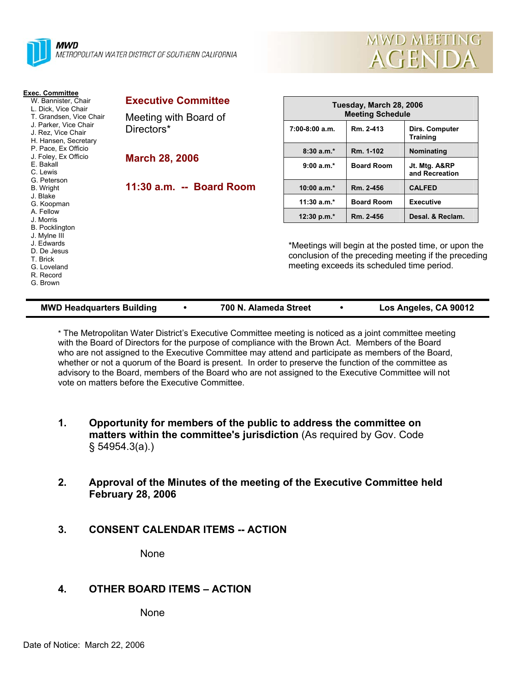



| <b>Exec. Committee</b><br>W. Bannister, Chair<br>L. Dick, Vice Chair<br>T. Grandsen, Vice Chair                        | <b>Executive Committee</b> | Tuesday, March 28, 2006 |                                                                                                                                                            |                                   |  |  |
|------------------------------------------------------------------------------------------------------------------------|----------------------------|-------------------------|------------------------------------------------------------------------------------------------------------------------------------------------------------|-----------------------------------|--|--|
|                                                                                                                        | Meeting with Board of      | <b>Meeting Schedule</b> |                                                                                                                                                            |                                   |  |  |
| J. Parker, Vice Chair<br>J. Rez. Vice Chair<br>H. Hansen, Secretary                                                    | Directors*                 | 7:00-8:00 a.m.          | Rm. 2-413                                                                                                                                                  | Dirs. Computer<br><b>Training</b> |  |  |
| P. Pace, Ex Officio                                                                                                    |                            | $8:30a.m.*$             | Rm. 1-102                                                                                                                                                  | Nominating                        |  |  |
| J. Foley, Ex Officio<br>E. Bakall<br>C. Lewis                                                                          | <b>March 28, 2006</b>      | $9:00 a.m.*$            | <b>Board Room</b>                                                                                                                                          | Jt. Mtg. A&RP<br>and Recreation   |  |  |
| G. Peterson<br><b>B.</b> Wright                                                                                        | 11:30 a.m. -- Board Room   | $10:00 a.m.*$           | Rm. 2-456                                                                                                                                                  | <b>CALFED</b>                     |  |  |
| J. Blake<br>G. Koopman                                                                                                 |                            | 11:30 $a.m.*$           | <b>Board Room</b>                                                                                                                                          | <b>Executive</b>                  |  |  |
| A. Fellow<br>J. Morris                                                                                                 |                            | 12:30 p.m. $*$          | Rm. 2-456                                                                                                                                                  | Desal. & Reclam.                  |  |  |
| <b>B.</b> Pocklington<br>J. Mylne III<br>J. Edwards<br>D. De Jesus<br>T. Brick<br>G. Loveland<br>R. Record<br>G. Brown |                            |                         | *Meetings will begin at the posted time, or upon the<br>conclusion of the preceding meeting if the preceding<br>meeting exceeds its scheduled time period. |                                   |  |  |

| <b>MWD Headquarters Building</b> |  | 700 N. Alameda Street |  | Los Angeles, CA 90012 |
|----------------------------------|--|-----------------------|--|-----------------------|
|----------------------------------|--|-----------------------|--|-----------------------|

\* The Metropolitan Water District's Executive Committee meeting is noticed as a joint committee meeting with the Board of Directors for the purpose of compliance with the Brown Act. Members of the Board who are not assigned to the Executive Committee may attend and participate as members of the Board, whether or not a quorum of the Board is present. In order to preserve the function of the committee as advisory to the Board, members of the Board who are not assigned to the Executive Committee will not vote on matters before the Executive Committee.

- **1. Opportunity for members of the public to address the committee on matters within the committee's jurisdiction** (As required by Gov. Code § 54954.3(a).)
- **2. Approval of the Minutes of the meeting of the Executive Committee held February 28, 2006**
- **3. CONSENT CALENDAR ITEMS -- ACTION**

None

# **4. OTHER BOARD ITEMS – ACTION**

None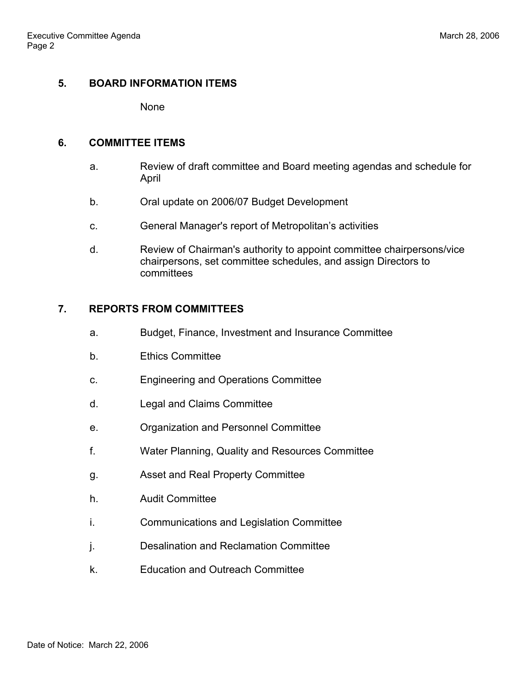## **5. BOARD INFORMATION ITEMS**

None

#### **6. COMMITTEE ITEMS**

- a. Review of draft committee and Board meeting agendas and schedule for April
- b. Oral update on 2006/07 Budget Development
- c. General Manager's report of Metropolitan's activities
- d. Review of Chairman's authority to appoint committee chairpersons/vice chairpersons, set committee schedules, and assign Directors to committees

## **7. REPORTS FROM COMMITTEES**

- a. Budget, Finance, Investment and Insurance Committee
- b. Ethics Committee
- c. Engineering and Operations Committee
- d. Legal and Claims Committee
- e. Organization and Personnel Committee
- f. Water Planning, Quality and Resources Committee
- g. Asset and Real Property Committee
- h. Audit Committee
- i. Communications and Legislation Committee
- j. Desalination and Reclamation Committee
- k. Education and Outreach Committee